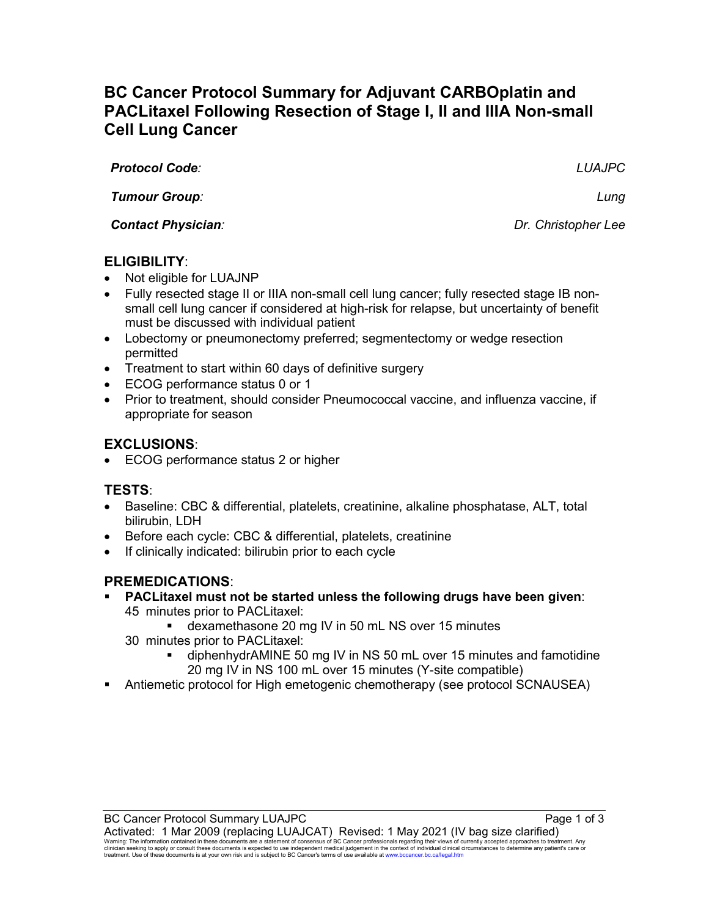# **BC Cancer Protocol Summary for Adjuvant CARBOplatin and PACLitaxel Following Resection of Stage I, II and IIIA Non-small Cell Lung Cancer**

*Protocol Code: LUAJPC*

*Tumour Group: Lung* 

*Contact Physician: Dr. Christopher Lee* 

**ELIGIBILITY**:

- Not eligible for LUAJNP
- Fully resected stage II or IIIA non-small cell lung cancer; fully resected stage IB nonsmall cell lung cancer if considered at high-risk for relapse, but uncertainty of benefit must be discussed with individual patient
- Lobectomy or pneumonectomy preferred; segmentectomy or wedge resection permitted
- Treatment to start within 60 days of definitive surgery
- ECOG performance status 0 or 1
- Prior to treatment, should consider Pneumococcal vaccine, and influenza vaccine, if appropriate for season

# **EXCLUSIONS**:

• ECOG performance status 2 or higher

# **TESTS**:

- Baseline: CBC & differential, platelets, creatinine, alkaline phosphatase, ALT, total bilirubin, LDH
- Before each cycle: CBC & differential, platelets, creatinine
- If clinically indicated: bilirubin prior to each cycle

# **PREMEDICATIONS**:

- **PACLitaxel must not be started unless the following drugs have been given**: 45 minutes prior to PACLitaxel:
	- dexamethasone 20 mg IV in 50 mL NS over 15 minutes
	- 30 minutes prior to PACLitaxel:
		- diphenhydrAMINE 50 mg IV in NS 50 mL over 15 minutes and famotidine 20 mg IV in NS 100 mL over 15 minutes (Y-site compatible)
- Antiemetic protocol for High emetogenic chemotherapy (see protocol SCNAUSEA)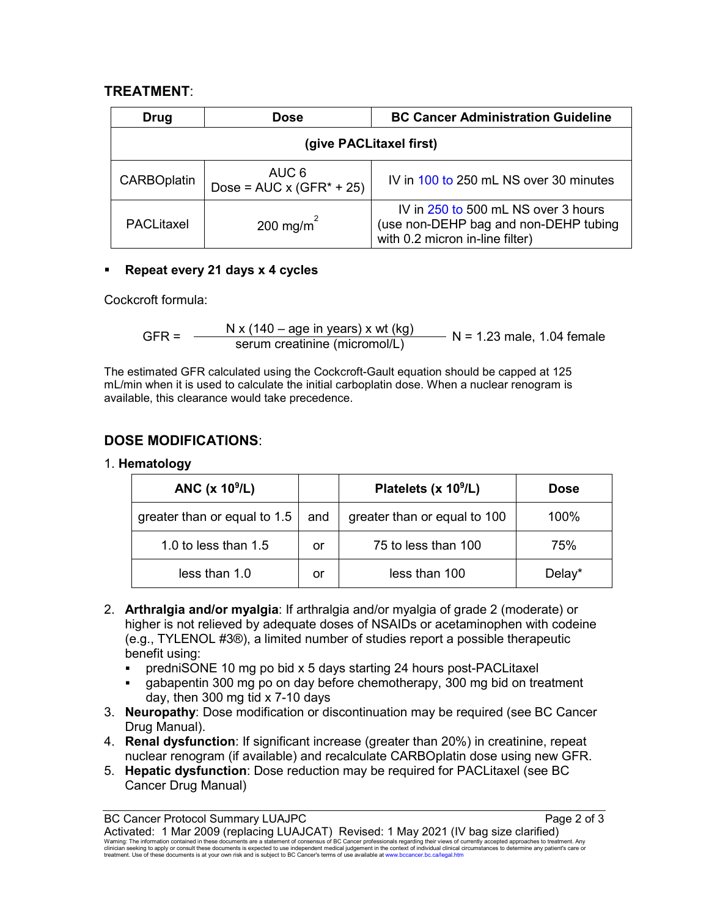### **TREATMENT**:

| Drug                    | <b>Dose</b>                               | <b>BC Cancer Administration Guideline</b>                                                                       |  |  |
|-------------------------|-------------------------------------------|-----------------------------------------------------------------------------------------------------------------|--|--|
| (give PACLitaxel first) |                                           |                                                                                                                 |  |  |
| <b>CARBOplatin</b>      | AUC 6<br>Dose = $AUC \times (GFR^* + 25)$ | IV in 100 to 250 mL NS over 30 minutes                                                                          |  |  |
| PACLitaxel              | 200 mg/m <sup>2</sup>                     | IV in 250 to 500 mL NS over 3 hours<br>(use non-DEHP bag and non-DEHP tubing<br>with 0.2 micron in-line filter) |  |  |

#### **Repeat every 21 days x 4 cycles**

Cockcroft formula:

$$
GFR = \frac{N x (140 - age in years) x wt (kg)}{serum creationine (micromol/L)}
$$
 N = 1.23 male, 1.04 female

The estimated GFR calculated using the Cockcroft-Gault equation should be capped at 125 mL/min when it is used to calculate the initial carboplatin dose. When a nuclear renogram is available, this clearance would take precedence.

# **DOSE MODIFICATIONS**:

#### 1. **Hematology**

| ANC $(x 10^9/L)$             |     | Platelets (x 10 <sup>9</sup> /L) | <b>Dose</b> |
|------------------------------|-----|----------------------------------|-------------|
| greater than or equal to 1.5 | and | greater than or equal to 100     | 100%        |
| 1.0 to less than 1.5         | or  | 75 to less than 100              | 75%         |
| less than 1.0                | or  | less than 100                    | Delay*      |

- 2. **Arthralgia and/or myalgia**: If arthralgia and/or myalgia of grade 2 (moderate) or higher is not relieved by adequate doses of NSAIDs or acetaminophen with codeine (e.g., TYLENOL #3®), a limited number of studies report a possible therapeutic benefit using:
	- predniSONE 10 mg po bid x 5 days starting 24 hours post-PACLitaxel
	- gabapentin 300 mg po on day before chemotherapy, 300 mg bid on treatment day, then 300 mg tid x 7-10 days
- 3. **Neuropathy**: Dose modification or discontinuation may be required (see BC Cancer Drug Manual).
- 4. **Renal dysfunction**: If significant increase (greater than 20%) in creatinine, repeat nuclear renogram (if available) and recalculate CARBOplatin dose using new GFR.
- 5. **Hepatic dysfunction**: Dose reduction may be required for PACLitaxel (see BC Cancer Drug Manual)

Activated: 1 Mar 2009 (replacing LUAJCAT) Revised: 1 May 2021 (IV bag size clarified)<br>Warning: The information contained in these documents are a statement of consensus of BC Cancer professionals regarding their views of c

BC Cancer Protocol Summary LUAJPC Page 2 of 3